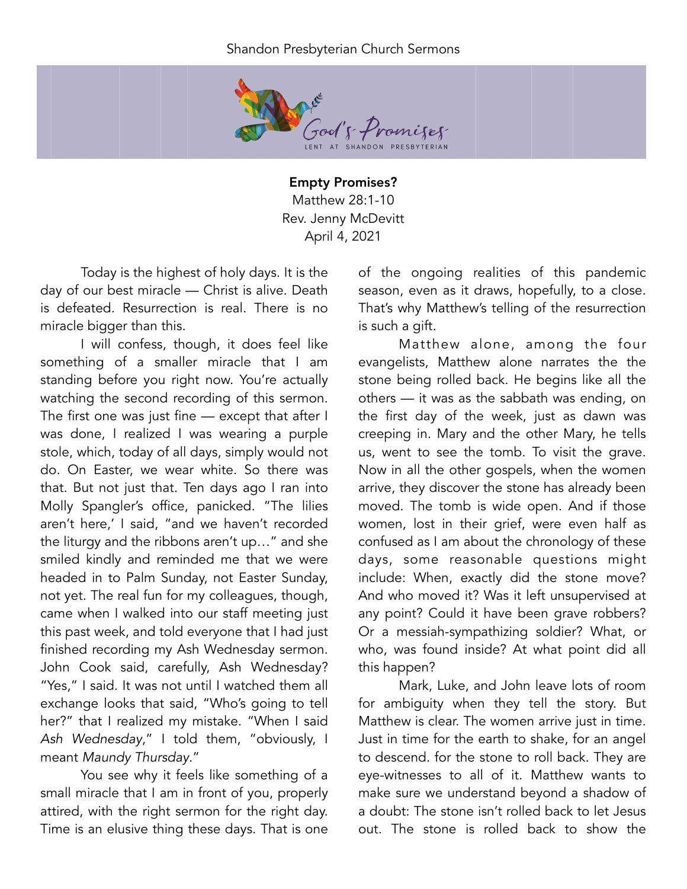## Shandon Presbyterian Church Sermons



Empty Promises? Matthew 28:1-10 Rev. Jenny McDevitt April 4, 2021

Today is the highest of holy days. It is the day of our best miracle — Christ is alive. Death is defeated. Resurrection is real. There is no miracle bigger than this.

I will confess, though, it does feel like something of a smaller miracle that I am standing before you right now. You're actually watching the second recording of this sermon. The first one was just fine - except that after I was done, I realized I was wearing a purple stole, which, today of all days, simply would not do. On Easter, we wear white. So there was that. But not just that. Ten days ago I ran into Molly Spangler's office, panicked. "The lilies aren't here,' I said, "and we haven't recorded the liturgy and the ribbons aren't up…" and she smiled kindly and reminded me that we were headed in to Palm Sunday, not Easter Sunday, not yet. The real fun for my colleagues, though, came when I walked into our staff meeting just this past week, and told everyone that I had just finished recording my Ash Wednesday sermon. John Cook said, carefully, Ash Wednesday? "Yes," I said. It was not until I watched them all exchange looks that said, "Who's going to tell her?" that I realized my mistake. "When I said *Ash Wednesday*," I told them, "obviously, I meant *Maundy Thursday*."

You see why it feels like something of a small miracle that I am in front of you, properly attired, with the right sermon for the right day. Time is an elusive thing these days. That is one

of the ongoing realities of this pandemic season, even as it draws, hopefully, to a close. That's why Matthew's telling of the resurrection is such a gift.

Matthew alone, among the four evangelists, Matthew alone narrates the the stone being rolled back. He begins like all the others — it was as the sabbath was ending, on the first day of the week, just as dawn was creeping in. Mary and the other Mary, he tells us, went to see the tomb. To visit the grave. Now in all the other gospels, when the women arrive, they discover the stone has already been moved. The tomb is wide open. And if those women, lost in their grief, were even half as confused as I am about the chronology of these days, some reasonable questions might include: When, exactly did the stone move? And who moved it? Was it left unsupervised at any point? Could it have been grave robbers? Or a messiah-sympathizing soldier? What, or who, was found inside? At what point did all this happen?

Mark, Luke, and John leave lots of room for ambiguity when they tell the story. But Matthew is clear. The women arrive just in time. Just in time for the earth to shake, for an angel to descend. for the stone to roll back. They are eye-witnesses to all of it. Matthew wants to make sure we understand beyond a shadow of a doubt: The stone isn't rolled back to let Jesus out. The stone is rolled back to show the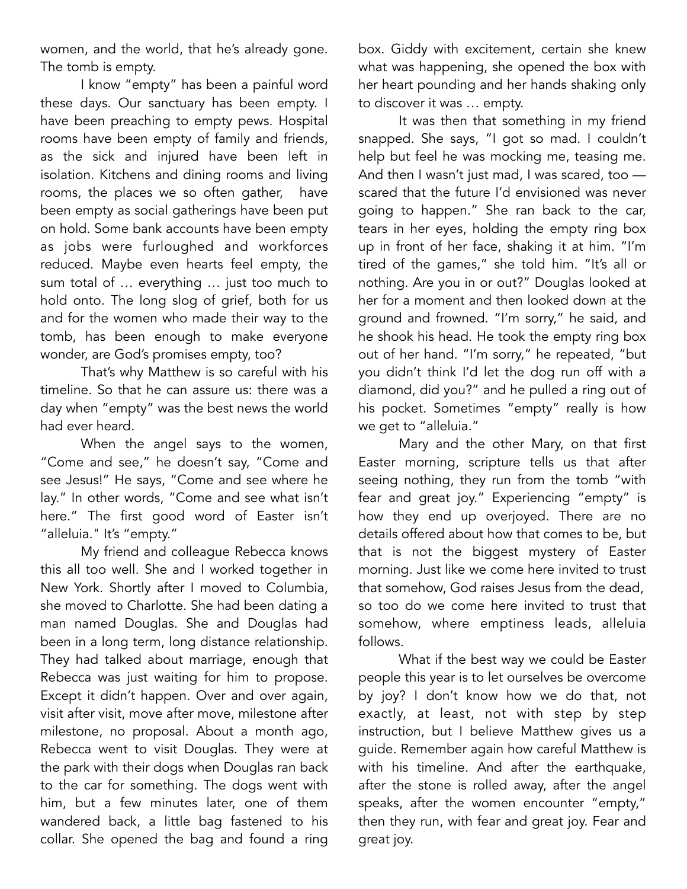women, and the world, that he's already gone. The tomb is empty.

I know "empty" has been a painful word these days. Our sanctuary has been empty. I have been preaching to empty pews. Hospital rooms have been empty of family and friends, as the sick and injured have been left in isolation. Kitchens and dining rooms and living rooms, the places we so often gather, have been empty as social gatherings have been put on hold. Some bank accounts have been empty as jobs were furloughed and workforces reduced. Maybe even hearts feel empty, the sum total of … everything … just too much to hold onto. The long slog of grief, both for us and for the women who made their way to the tomb, has been enough to make everyone wonder, are God's promises empty, too?

That's why Matthew is so careful with his timeline. So that he can assure us: there was a day when "empty" was the best news the world had ever heard.

When the angel says to the women, "Come and see," he doesn't say, "Come and see Jesus!" He says, "Come and see where he lay." In other words, "Come and see what isn't here." The first good word of Easter isn't "alleluia." It's "empty."

My friend and colleague Rebecca knows this all too well. She and I worked together in New York. Shortly after I moved to Columbia, she moved to Charlotte. She had been dating a man named Douglas. She and Douglas had been in a long term, long distance relationship. They had talked about marriage, enough that Rebecca was just waiting for him to propose. Except it didn't happen. Over and over again, visit after visit, move after move, milestone after milestone, no proposal. About a month ago, Rebecca went to visit Douglas. They were at the park with their dogs when Douglas ran back to the car for something. The dogs went with him, but a few minutes later, one of them wandered back, a little bag fastened to his collar. She opened the bag and found a ring

box. Giddy with excitement, certain she knew what was happening, she opened the box with her heart pounding and her hands shaking only to discover it was … empty.

It was then that something in my friend snapped. She says, "I got so mad. I couldn't help but feel he was mocking me, teasing me. And then I wasn't just mad, I was scared, too scared that the future I'd envisioned was never going to happen." She ran back to the car, tears in her eyes, holding the empty ring box up in front of her face, shaking it at him. "I'm tired of the games," she told him. "It's all or nothing. Are you in or out?" Douglas looked at her for a moment and then looked down at the ground and frowned. "I'm sorry," he said, and he shook his head. He took the empty ring box out of her hand. "I'm sorry," he repeated, "but you didn't think I'd let the dog run off with a diamond, did you?" and he pulled a ring out of his pocket. Sometimes "empty" really is how we get to "alleluia."

Mary and the other Mary, on that first Easter morning, scripture tells us that after seeing nothing, they run from the tomb "with fear and great joy." Experiencing "empty" is how they end up overjoyed. There are no details offered about how that comes to be, but that is not the biggest mystery of Easter morning. Just like we come here invited to trust that somehow, God raises Jesus from the dead, so too do we come here invited to trust that somehow, where emptiness leads, alleluia follows.

What if the best way we could be Easter people this year is to let ourselves be overcome by joy? I don't know how we do that, not exactly, at least, not with step by step instruction, but I believe Matthew gives us a guide. Remember again how careful Matthew is with his timeline. And after the earthquake, after the stone is rolled away, after the angel speaks, after the women encounter "empty," then they run, with fear and great joy. Fear and great joy.